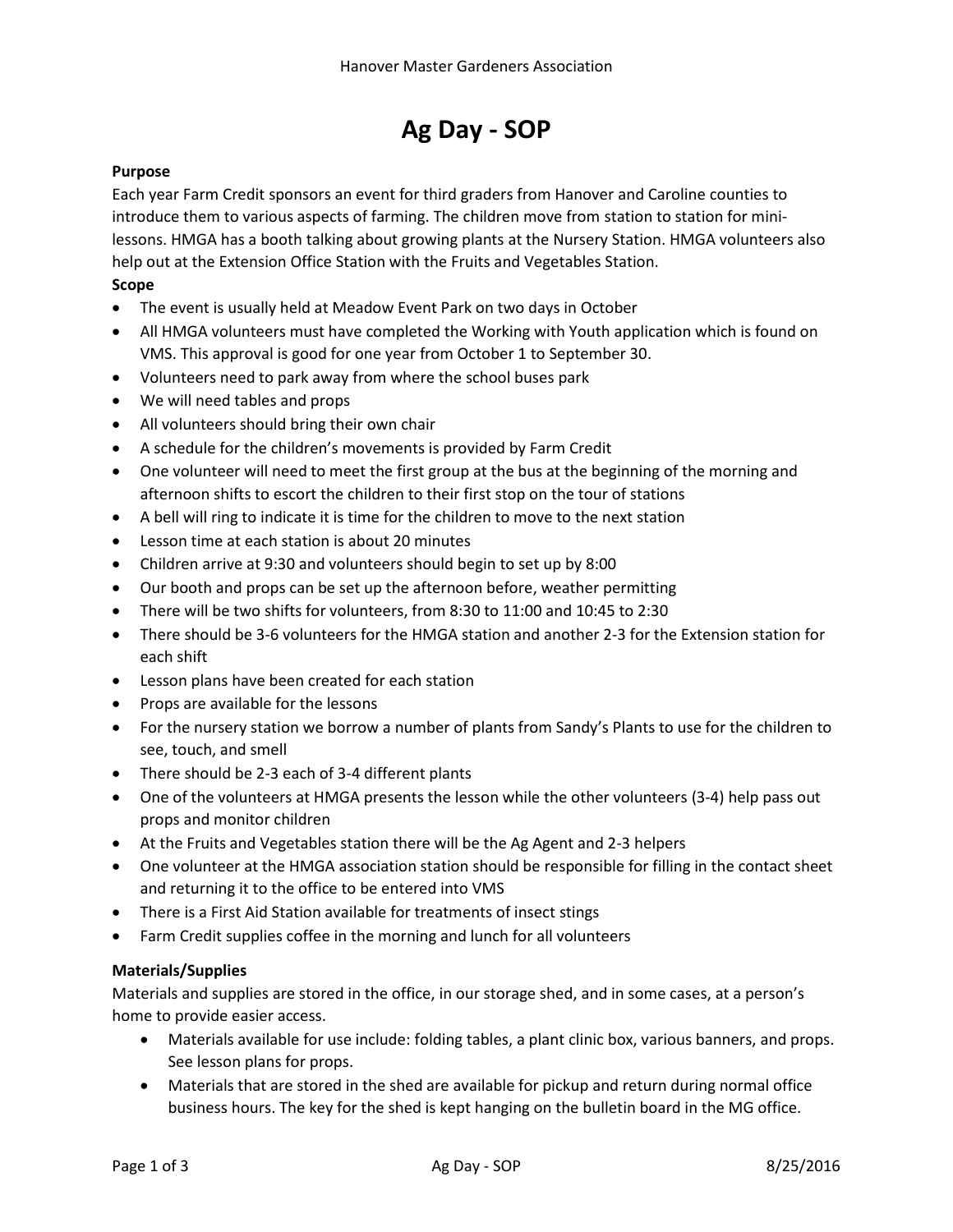# **Ag Day - SOP**

### **Purpose**

Each year Farm Credit sponsors an event for third graders from Hanover and Caroline counties to introduce them to various aspects of farming. The children move from station to station for minilessons. HMGA has a booth talking about growing plants at the Nursery Station. HMGA volunteers also help out at the Extension Office Station with the Fruits and Vegetables Station.

#### **Scope**

- The event is usually held at Meadow Event Park on two days in October
- All HMGA volunteers must have completed the Working with Youth application which is found on VMS. This approval is good for one year from October 1 to September 30.
- Volunteers need to park away from where the school buses park
- We will need tables and props
- All volunteers should bring their own chair
- A schedule for the children's movements is provided by Farm Credit
- One volunteer will need to meet the first group at the bus at the beginning of the morning and afternoon shifts to escort the children to their first stop on the tour of stations
- A bell will ring to indicate it is time for the children to move to the next station
- Lesson time at each station is about 20 minutes
- Children arrive at 9:30 and volunteers should begin to set up by 8:00
- Our booth and props can be set up the afternoon before, weather permitting
- There will be two shifts for volunteers, from 8:30 to 11:00 and 10:45 to 2:30
- There should be 3-6 volunteers for the HMGA station and another 2-3 for the Extension station for each shift
- Lesson plans have been created for each station
- Props are available for the lessons
- For the nursery station we borrow a number of plants from Sandy's Plants to use for the children to see, touch, and smell
- There should be 2-3 each of 3-4 different plants
- One of the volunteers at HMGA presents the lesson while the other volunteers (3-4) help pass out props and monitor children
- At the Fruits and Vegetables station there will be the Ag Agent and 2-3 helpers
- One volunteer at the HMGA association station should be responsible for filling in the contact sheet and returning it to the office to be entered into VMS
- There is a First Aid Station available for treatments of insect stings
- Farm Credit supplies coffee in the morning and lunch for all volunteers

#### **Materials/Supplies**

Materials and supplies are stored in the office, in our storage shed, and in some cases, at a person's home to provide easier access.

- Materials available for use include: folding tables, a plant clinic box, various banners, and props. See lesson plans for props.
- Materials that are stored in the shed are available for pickup and return during normal office business hours. The key for the shed is kept hanging on the bulletin board in the MG office.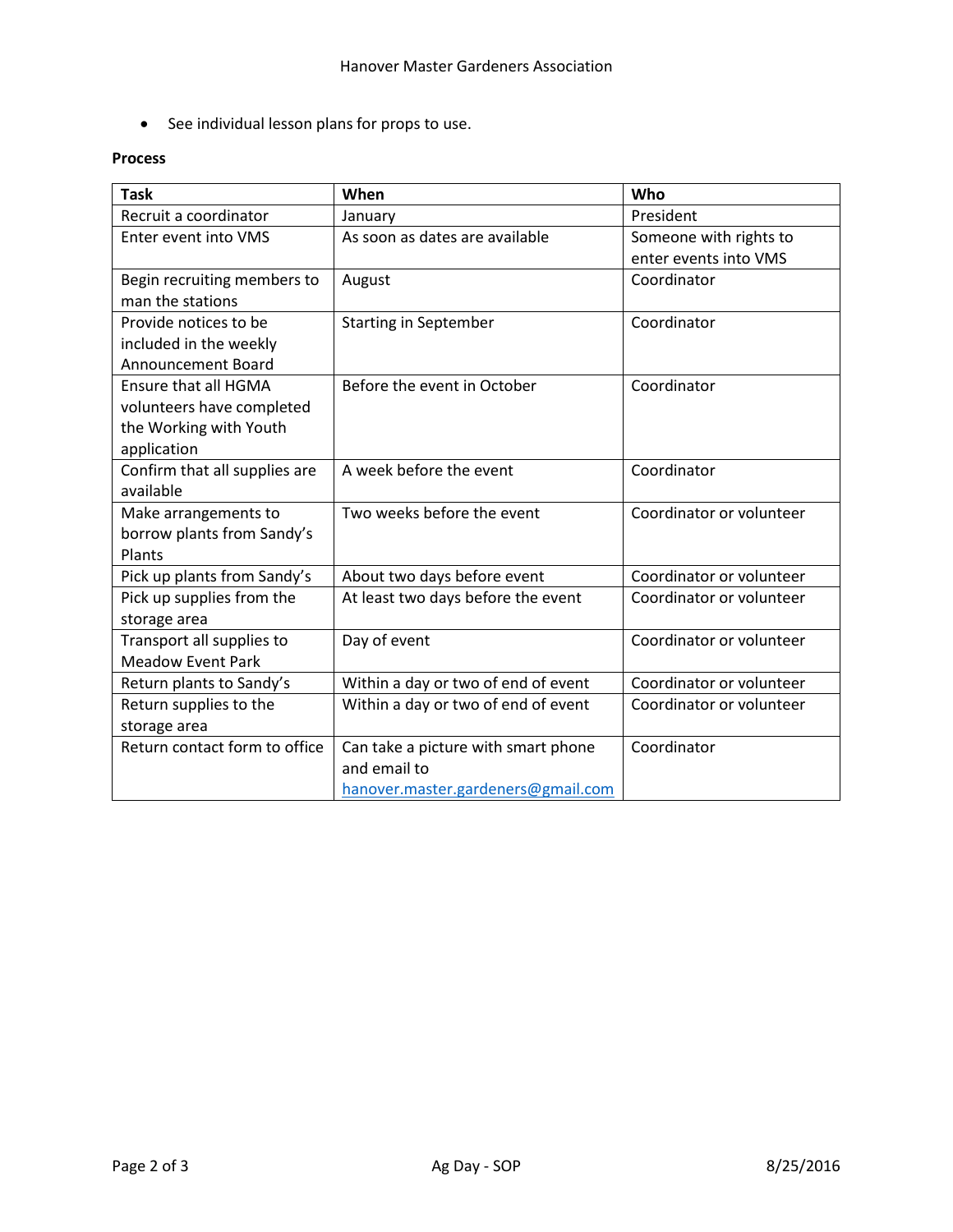See individual lesson plans for props to use.

## **Process**

| <b>Task</b>                   | When                                | Who                      |
|-------------------------------|-------------------------------------|--------------------------|
| Recruit a coordinator         | January                             | President                |
| Enter event into VMS          | As soon as dates are available      | Someone with rights to   |
|                               |                                     | enter events into VMS    |
| Begin recruiting members to   | August                              | Coordinator              |
| man the stations              |                                     |                          |
| Provide notices to be         | <b>Starting in September</b>        | Coordinator              |
| included in the weekly        |                                     |                          |
| Announcement Board            |                                     |                          |
| <b>Ensure that all HGMA</b>   | Before the event in October         | Coordinator              |
| volunteers have completed     |                                     |                          |
| the Working with Youth        |                                     |                          |
| application                   |                                     |                          |
| Confirm that all supplies are | A week before the event             | Coordinator              |
| available                     |                                     |                          |
| Make arrangements to          | Two weeks before the event          | Coordinator or volunteer |
| borrow plants from Sandy's    |                                     |                          |
| Plants                        |                                     |                          |
| Pick up plants from Sandy's   | About two days before event         | Coordinator or volunteer |
| Pick up supplies from the     | At least two days before the event  | Coordinator or volunteer |
| storage area                  |                                     |                          |
| Transport all supplies to     | Day of event                        | Coordinator or volunteer |
| <b>Meadow Event Park</b>      |                                     |                          |
| Return plants to Sandy's      | Within a day or two of end of event | Coordinator or volunteer |
| Return supplies to the        | Within a day or two of end of event | Coordinator or volunteer |
| storage area                  |                                     |                          |
| Return contact form to office | Can take a picture with smart phone | Coordinator              |
|                               | and email to                        |                          |
|                               | hanover.master.gardeners@gmail.com  |                          |